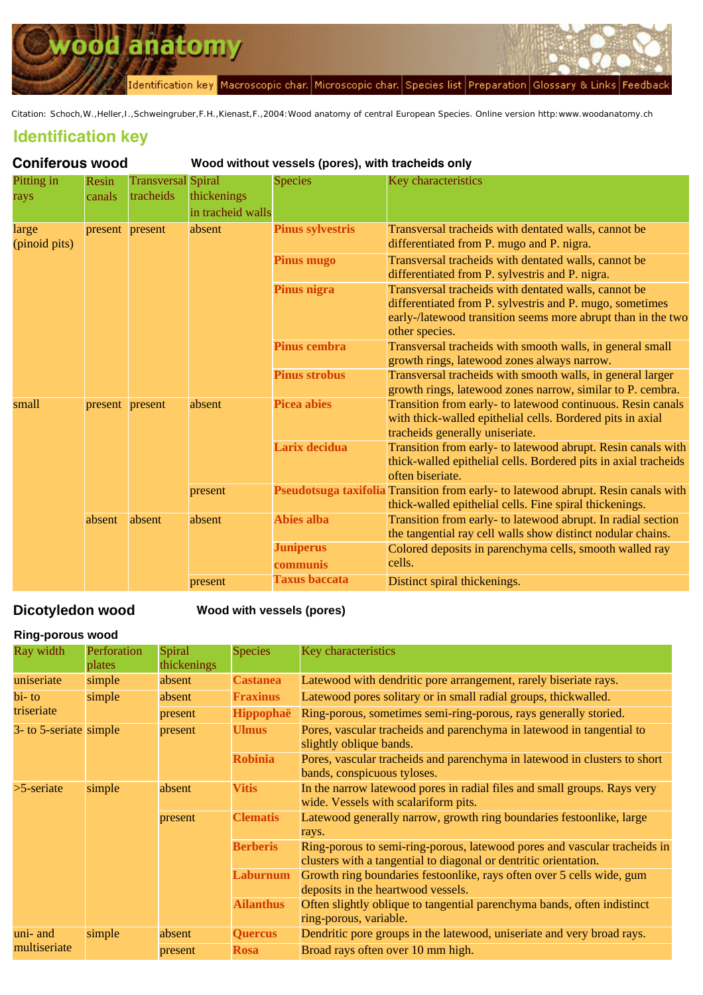<span id="page-0-0"></span>

Citation: Schoch,W.,Heller,I.,Schweingruber,F.H.,Kienast,F.,2004:Wood anatomy of central European Species. Online version http:www.woodanatomy.ch

# **Identification key**

| <b>Coniferous wood</b> |                 |                                        | Wood without vessels (pores), with tracheids only |                              |                                                                                                                                                                                                    |
|------------------------|-----------------|----------------------------------------|---------------------------------------------------|------------------------------|----------------------------------------------------------------------------------------------------------------------------------------------------------------------------------------------------|
| Pitting in<br>rays     | Resin<br>canals | <b>Transversal</b> Spiral<br>tracheids | thickenings<br>in tracheid walls                  | <b>Species</b>               | Key characteristics                                                                                                                                                                                |
| large<br>(pinoid pits) | present present |                                        | absent                                            | <b>Pinus sylvestris</b>      | Transversal tracheids with dentated walls, cannot be<br>differentiated from P. mugo and P. nigra.                                                                                                  |
|                        |                 |                                        |                                                   | <b>Pinus mugo</b>            | Transversal tracheids with dentated walls, cannot be<br>differentiated from P. sylvestris and P. nigra.                                                                                            |
|                        |                 |                                        |                                                   | Pinus nigra                  | Transversal tracheids with dentated walls, cannot be<br>differentiated from P. sylvestris and P. mugo, sometimes<br>early-/latewood transition seems more abrupt than in the two<br>other species. |
|                        |                 |                                        |                                                   | <b>Pinus cembra</b>          | Transversal tracheids with smooth walls, in general small<br>growth rings, latewood zones always narrow.                                                                                           |
|                        |                 |                                        |                                                   | <b>Pinus strobus</b>         | Transversal tracheids with smooth walls, in general larger<br>growth rings, latewood zones narrow, similar to P. cembra.                                                                           |
| small                  | present present |                                        | absent                                            | <b>Picea abies</b>           | Transition from early- to latewood continuous. Resin canals<br>with thick-walled epithelial cells. Bordered pits in axial<br>tracheids generally uniseriate.                                       |
|                        |                 |                                        |                                                   | Larix decidua                | Transition from early- to latewood abrupt. Resin canals with<br>thick-walled epithelial cells. Bordered pits in axial tracheids<br>often biseriate.                                                |
|                        |                 |                                        | present                                           |                              | Pseudotsuga taxifolia Transition from early- to latewood abrupt. Resin canals with<br>thick-walled epithelial cells. Fine spiral thickenings.                                                      |
|                        | absent          | absent                                 | absent                                            | <b>Abies alba</b>            | Transition from early- to latewood abrupt. In radial section<br>the tangential ray cell walls show distinct nodular chains.                                                                        |
|                        |                 |                                        |                                                   | <b>Juniperus</b><br>communis | Colored deposits in parenchyma cells, smooth walled ray<br>cells.                                                                                                                                  |
|                        |                 |                                        | present                                           | <b>Taxus baccata</b>         | Distinct spiral thickenings.                                                                                                                                                                       |

## **Dicotyledon wood Wood with ve[ssels \(pore](file:///Mac Heller/Heller Daten/holzwurm/www/species.php?code=ABAL)s)**

#### **Ring-porous wood**

| Ray width              | Perforation<br>plates | Spiral<br>thickenings  | <b>Species</b>   | Key characteristics                                                                                                                           |  |
|------------------------|-----------------------|------------------------|------------------|-----------------------------------------------------------------------------------------------------------------------------------------------|--|
| uniseriate             | simple                | absent                 | <b>Castanea</b>  | Latewood with dendritic pore arrangement, rarely biseriate rays.                                                                              |  |
| $\mathbf{bi}$ - to     | simple                | absent                 | <b>Fraxinus</b>  | Latewood pores solitary or in small radial groups, thickwalled.                                                                               |  |
| triseriate             |                       | present                | <b>Hippophaë</b> | Ring-porous, sometimes semi-ring-porous, rays generally storied.                                                                              |  |
| 3- to 5-seriate simple |                       | present                | <b>Ulmus</b>     | Pores, vascular tracheids and parenchyma in latewood in tangential to<br>slightly oblique bands.                                              |  |
|                        |                       |                        | <b>Robinia</b>   | Pores, vascular tracheids and parenchyma in latewood in clusters to short<br>bands, conspicuous tyloses.                                      |  |
| $>5$ -seriate          | simple                | <b>Vitis</b><br>absent |                  | In the narrow latewood pores in radial files and small groups. Rays very<br>wide. Vessels with scalariform pits.                              |  |
|                        |                       | present                | <b>Clematis</b>  | Latewood generally narrow, growth ring boundaries festoonlike, large<br>rays.                                                                 |  |
|                        |                       |                        | <b>Berberis</b>  | Ring-porous to semi-ring-porous, latewood pores and vascular tracheids in<br>clusters with a tangential to diagonal or dentritic orientation. |  |
|                        |                       |                        | Laburnum         | Growth ring boundaries festoonlike, rays often over 5 cells wide, gum<br>deposits in the heartwood vessels.                                   |  |
|                        |                       |                        | <b>Ailanthus</b> | Often slightly oblique to tangential parenchyma bands, often indistinct<br>ring-porous, variable.                                             |  |
| uni- and               | simple                | absent                 | <b>Quercus</b>   | Dendritic pore groups in the latewood, uniseriate and very broad rays.                                                                        |  |
| multiseriate           |                       | present                | <b>Rosa</b>      | Broad rays often over 10 mm high.                                                                                                             |  |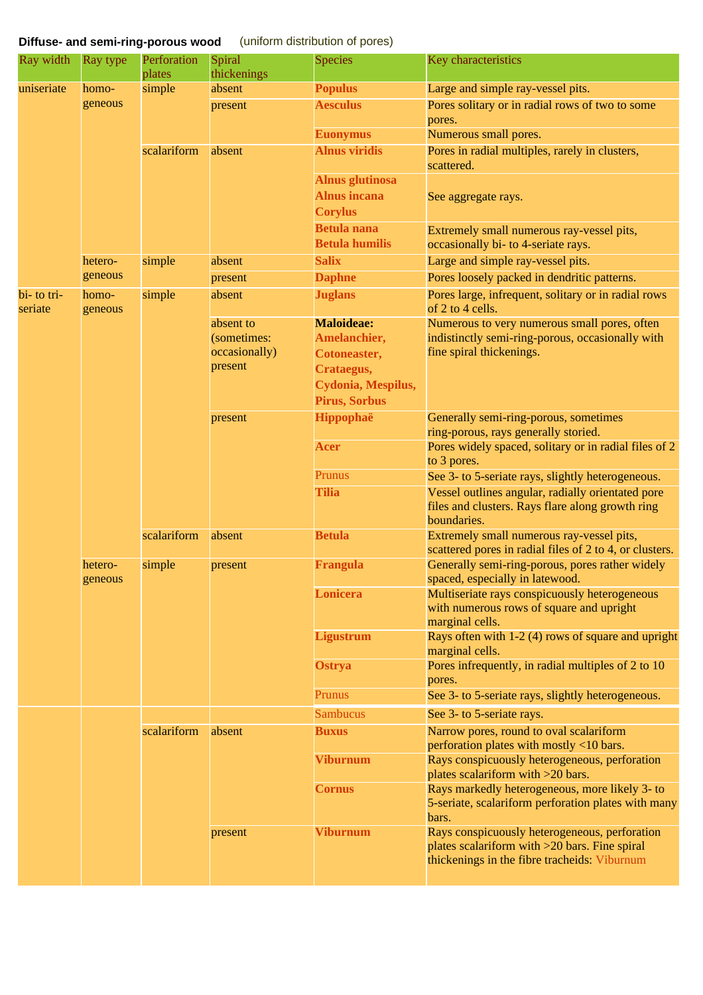# **Diffuse- and semi-ring-porous wood** [\(unif](file:///Mac Heller/Heller Daten/holzwurm/www/species.php?code=VIVI)orm distribution of pores)

| Ray width              | Ray type           | Perforation<br>plates | Spiral<br>thickenings | <b>Species</b>         | Key characteristics                                                                                                                            |
|------------------------|--------------------|-----------------------|-----------------------|------------------------|------------------------------------------------------------------------------------------------------------------------------------------------|
| uniseriate             | homo-              | simple                | absent                | <b>Populus</b>         | Large and simple ray-vessel pits.                                                                                                              |
|                        | geneous            |                       | present               | <b>Aesculus</b>        | Pores solitary or in radial rows of two to some<br>pores.                                                                                      |
|                        |                    |                       |                       | <b>Euonymus</b>        | Numerous small pores.                                                                                                                          |
|                        |                    | scalariform           | absent                | <b>Alnus viridis</b>   | Pores in radial multiples, rarely in clusters,<br>scattered.                                                                                   |
|                        |                    |                       |                       | <b>Alnus glutinosa</b> |                                                                                                                                                |
|                        |                    |                       |                       | <b>Alnus incana</b>    | See aggregate rays.                                                                                                                            |
|                        |                    |                       |                       | <b>Corylus</b>         |                                                                                                                                                |
|                        |                    |                       |                       | <b>Betula</b> nana     | Extremely small numerous ray-vessel pits,                                                                                                      |
|                        |                    |                       |                       | <b>Betula humilis</b>  | occasionally bi- to 4-seriate rays.                                                                                                            |
|                        | hetero-            | simple                | absent                | <b>Salix</b>           | Large and simple ray-vessel pits.                                                                                                              |
|                        | geneous            |                       | present               | <b>Daphne</b>          | Pores loosely packed in dendritic patterns.                                                                                                    |
| bi- to tri-<br>seriate | homo-<br>geneous   | simple                | absent                | <b>Juglans</b>         | Pores large, infrequent, solitary or in radial rows<br>of 2 to 4 cells.                                                                        |
|                        |                    |                       | absent to             | <b>Maloideae:</b>      | Numerous to very numerous small pores, often                                                                                                   |
|                        |                    |                       | (sometimes:           | Amelanchier,           | indistinctly semi-ring-porous, occasionally with                                                                                               |
|                        |                    |                       | occasionally)         | <b>Cotoneaster,</b>    | fine spiral thickenings.                                                                                                                       |
|                        |                    |                       | present               | Crataegus,             |                                                                                                                                                |
|                        |                    |                       |                       | Cydonia, Mespilus,     |                                                                                                                                                |
|                        |                    |                       |                       | <b>Pirus, Sorbus</b>   |                                                                                                                                                |
|                        |                    |                       | present               | Hippophaë              | Generally semi-ring-porous, sometimes<br>ring-porous, rays generally storied.                                                                  |
|                        |                    |                       |                       | Acer                   | Pores widely spaced, solitary or in radial files of 2<br>to 3 pores.                                                                           |
|                        |                    |                       |                       | Prunus                 | See 3- to 5-seriate rays, slightly heterogeneous.                                                                                              |
|                        |                    |                       |                       | <b>Tilia</b>           | Vessel outlines angular, radially orientated pore<br>files and clusters. Rays flare along growth ring<br>boundaries.                           |
|                        |                    | scalariform           | absent                | <b>Betula</b>          | Extremely small numerous ray-vessel pits,<br>scattered pores in radial files of 2 to 4, or clusters.                                           |
|                        | hetero-<br>geneous | simple                | present               | <b>Frangula</b>        | Generally semi-ring-porous, pores rather widely<br>spaced, especially in latewood.                                                             |
|                        |                    |                       |                       | <b>Lonicera</b>        | Multiseriate rays conspicuously heterogeneous<br>with numerous rows of square and upright<br>marginal cells.                                   |
|                        |                    |                       |                       | <b>Ligustrum</b>       | Rays often with 1-2 (4) rows of square and upright<br>marginal cells.                                                                          |
|                        |                    |                       |                       | Ostrya                 | Pores infrequently, in radial multiples of 2 to 10<br>pores.                                                                                   |
|                        |                    |                       |                       | Prunus                 | See 3- to 5-seriate rays, slightly heterogeneous.                                                                                              |
|                        |                    |                       |                       | <b>Sambucus</b>        | See 3- to 5-seriate rays.                                                                                                                      |
|                        |                    | scalariform           | absent                | <b>Buxus</b>           | Narrow pores, round to oval scalariform<br>perforation plates with mostly <10 bars.                                                            |
|                        |                    |                       |                       | <b>Viburnum</b>        | Rays conspicuously heterogeneous, perforation<br>plates scalariform with $>20$ bars.                                                           |
|                        |                    |                       |                       | <b>Cornus</b>          | Rays markedly heterogeneous, more likely 3- to<br>5-seriate, scalariform perforation plates with many<br>bars.                                 |
|                        |                    |                       | present               | <b>Viburnum</b>        | Rays conspicuously heterogeneous, perforation<br>plates scalariform with >20 bars. Fine spiral<br>thickenings in the fibre tracheids: Viburnum |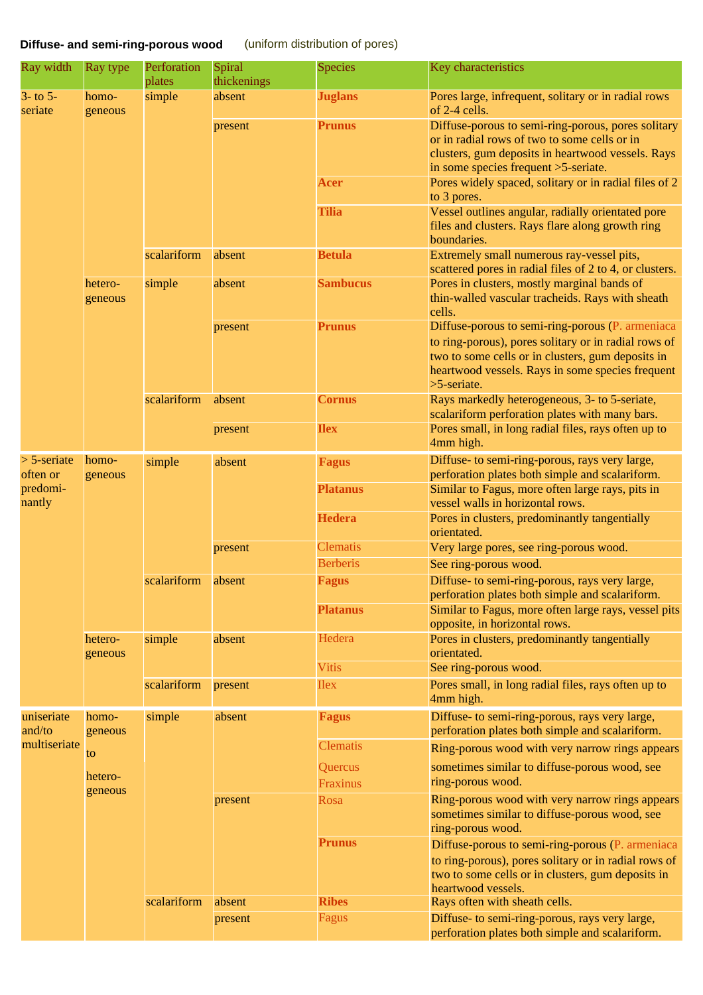## **Diffuse- and semi-ring-porous wood** (uniform distr[ibution](file:///Mac Heller/Heller Daten/holzwurm/www/species.php?code=BUSE) [of p](file:///Mac Heller/Heller Daten/holzwurm/www/species_group.php?code=SMSP)ores)

| Ray width                 | Ray type           | Perforation<br>plates | Spiral<br>thickenings | <b>Species</b>  | Key characteristics                                                                                                                                                                                                              |                                                                                                   |
|---------------------------|--------------------|-----------------------|-----------------------|-----------------|----------------------------------------------------------------------------------------------------------------------------------------------------------------------------------------------------------------------------------|---------------------------------------------------------------------------------------------------|
| $3-$ to $5-$<br>seriate   | homo-<br>geneous   | simple                | absent                | <b>Juglans</b>  | Pores large, infrequent, solitary or in radial rows<br>of 2-4 cells.                                                                                                                                                             |                                                                                                   |
|                           |                    |                       | present               | <b>Prunus</b>   | Diffuse-porous to semi-ring-porous, pores solitary<br>or in radial rows of two to some cells or in<br>clusters, gum deposits in heartwood vessels. Rays<br>in some species frequent >5-seriate.                                  |                                                                                                   |
|                           |                    |                       |                       | <b>Acer</b>     | Pores widely spaced, solitary or in radial files of 2<br>to 3 pores.                                                                                                                                                             |                                                                                                   |
|                           |                    |                       |                       | <b>Tilia</b>    | Vessel outlines angular, radially orientated pore<br>files and clusters. Rays flare along growth ring<br>boundaries.                                                                                                             |                                                                                                   |
|                           |                    | scalariform           | absent                | <b>Betula</b>   | Extremely small numerous ray-vessel pits,<br>scattered pores in radial files of 2 to 4, or clusters.                                                                                                                             |                                                                                                   |
|                           | hetero-<br>geneous | simple                | absent                | <b>Sambucus</b> | Pores in clusters, mostly marginal bands of<br>thin-walled vascular tracheids. Rays with sheath<br>cells.                                                                                                                        |                                                                                                   |
|                           |                    |                       | present               | <b>Prunus</b>   | Diffuse-porous to semi-ring-porous (P. armeniaca<br>to ring-porous), pores solitary or in radial rows of<br>two to some cells or in clusters, gum deposits in<br>heartwood vessels. Rays in some species frequent<br>>5-seriate. |                                                                                                   |
|                           |                    | scalariform           | absent                | <b>Cornus</b>   | Rays markedly heterogeneous, 3- to 5-seriate,<br>scalariform perforation plates with many bars.                                                                                                                                  |                                                                                                   |
|                           |                    |                       | present               | <b>Ilex</b>     | Pores small, in long radial files, rays often up to<br>4mm high.                                                                                                                                                                 |                                                                                                   |
| $>$ 5-seriate<br>often or | homo-<br>geneous   | simple<br>scalariform | absent                | <b>Fagus</b>    | Diffuse- to semi-ring-porous, rays very large,<br>perforation plates both simple and scalariform.                                                                                                                                |                                                                                                   |
| predomi-<br>nantly        |                    |                       |                       | <b>Platanus</b> | Similar to Fagus, more often large rays, pits in<br>vessel walls in horizontal rows.                                                                                                                                             |                                                                                                   |
|                           |                    |                       |                       | <b>Hedera</b>   | Pores in clusters, predominantly tangentially<br>orientated.                                                                                                                                                                     |                                                                                                   |
|                           |                    |                       | present               | <b>Clematis</b> | Very large pores, see ring-porous wood.                                                                                                                                                                                          |                                                                                                   |
|                           |                    |                       |                       | <b>Berberis</b> | See ring-porous wood.                                                                                                                                                                                                            |                                                                                                   |
|                           |                    |                       | absent                | <b>Fagus</b>    | Diffuse- to semi-ring-porous, rays very large,<br>perforation plates both simple and scalariform.                                                                                                                                |                                                                                                   |
|                           |                    |                       |                       | <b>Platanus</b> | Similar to Fagus, more often large rays, vessel pits<br>opposite, in horizontal rows.                                                                                                                                            |                                                                                                   |
|                           | hetero-<br>geneous | simple                | absent                | Hedera          | Pores in clusters, predominantly tangentially<br>orientated.                                                                                                                                                                     |                                                                                                   |
|                           |                    |                       |                       | <b>Vitis</b>    | See ring-porous wood.                                                                                                                                                                                                            |                                                                                                   |
|                           |                    | scalariform           | present               | <b>Ilex</b>     | Pores small, in long radial files, rays often up to<br>4mm high.                                                                                                                                                                 |                                                                                                   |
| uniseriate<br>and/to      | homo-<br>geneous   | simple                | absent                | <b>Fagus</b>    | Diffuse- to semi-ring-porous, rays very large,<br>perforation plates both simple and scalariform.                                                                                                                                |                                                                                                   |
| multiseriate              | to                 |                       |                       | <b>Clematis</b> | Ring-porous wood with very narrow rings appears                                                                                                                                                                                  |                                                                                                   |
|                           |                    |                       |                       | Quercus         | sometimes similar to diffuse-porous wood, see                                                                                                                                                                                    |                                                                                                   |
|                           | hetero-<br>geneous |                       |                       | Fraxinus        | ring-porous wood.                                                                                                                                                                                                                |                                                                                                   |
|                           |                    |                       | present               | Rosa            | Ring-porous wood with very narrow rings appears<br>sometimes similar to diffuse-porous wood, see<br>ring-porous wood.                                                                                                            |                                                                                                   |
|                           |                    |                       |                       | <b>Prunus</b>   | Diffuse-porous to semi-ring-porous (P. armeniaca<br>to ring-porous), pores solitary or in radial rows of<br>two to some cells or in clusters, gum deposits in<br>heartwood vessels.                                              |                                                                                                   |
|                           |                    | scalariform           | absent                | <b>Ribes</b>    | Rays often with sheath cells.                                                                                                                                                                                                    |                                                                                                   |
|                           |                    |                       |                       | present         | Fagus                                                                                                                                                                                                                            | Diffuse- to semi-ring-porous, rays very large,<br>perforation plates both simple and scalariform. |